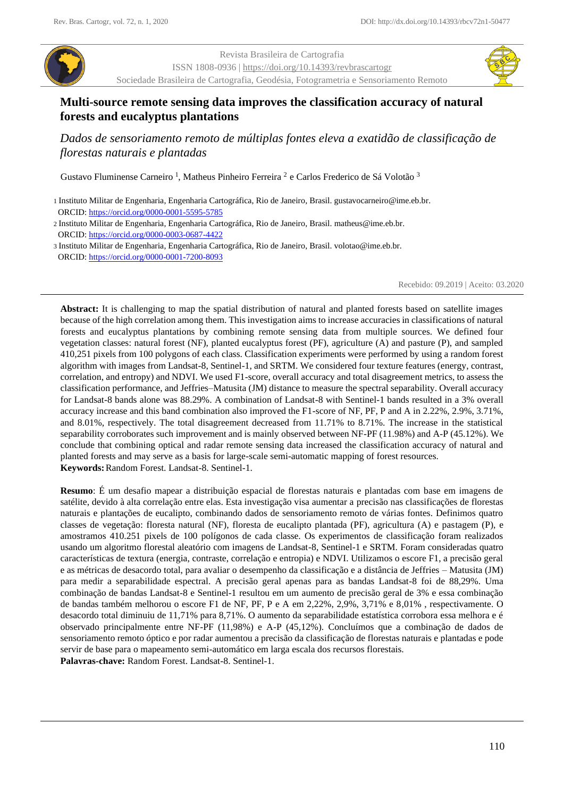

Revista Brasileira de Cartografia ISSN 1808-0936 [| https://doi.org/10.14393/revbrascartogr](https://doi.org/10.14393/revbrascartogr) Sociedade Brasileira de Cartografia, Geodésia, Fotogrametria e Sensoriamento Remoto



# **Multi-source remote sensing data improves the classification accuracy of natural forests and eucalyptus plantations**

*Dados de sensoriamento remoto de múltiplas fontes eleva a exatidão de classificação de florestas naturais e plantadas*

Gustavo Fluminense Carneiro<sup>1</sup>, Matheus Pinheiro Ferreira<sup>2</sup> e Carlos Frederico de Sá Volotão<sup>3</sup>

2 Instituto Militar de Engenharia, Engenharia Cartográfica, Rio de Janeiro, Brasil. matheus@ime.eb.br. ORCID: https://orcid.org/0000-0003-0687-4422

3 Instituto Militar de Engenharia, Engenharia Cartográfica, Rio de Janeiro, Brasil. volotao@ime.eb.br. ORCID: https://orcid.org/0000-0001-7200-8093

Recebido: 09.2019 | Aceito: 03.2020

**Abstract:** It is challenging to map the spatial distribution of natural and planted forests based on satellite images because of the high correlation among them. This investigation aims to increase accuracies in classifications of natural forests and eucalyptus plantations by combining remote sensing data from multiple sources. We defined four vegetation classes: natural forest (NF), planted eucalyptus forest (PF), agriculture (A) and pasture (P), and sampled 410,251 pixels from 100 polygons of each class. Classification experiments were performed by using a random forest algorithm with images from Landsat-8, Sentinel-1, and SRTM. We considered four texture features (energy, contrast, correlation, and entropy) and NDVI. We used F1-score, overall accuracy and total disagreement metrics, to assess the classification performance, and Jeffries–Matusita (JM) distance to measure the spectral separability. Overall accuracy for Landsat-8 bands alone was 88.29%. A combination of Landsat-8 with Sentinel-1 bands resulted in a 3% overall accuracy increase and this band combination also improved the F1-score of NF, PF, P and A in 2.22%, 2.9%, 3.71%, and 8.01%, respectively. The total disagreement decreased from 11.71% to 8.71%. The increase in the statistical separability corroborates such improvement and is mainly observed between NF-PF (11.98%) and A-P (45.12%). We conclude that combining optical and radar remote sensing data increased the classification accuracy of natural and planted forests and may serve as a basis for large-scale semi-automatic mapping of forest resources. **Keywords:**Random Forest. Landsat-8. Sentinel-1.

**Resumo**: É um desafio mapear a distribuição espacial de florestas naturais e plantadas com base em imagens de satélite, devido à alta correlação entre elas. Esta investigação visa aumentar a precisão nas classificações de florestas naturais e plantações de eucalipto, combinando dados de sensoriamento remoto de várias fontes. Definimos quatro classes de vegetação: floresta natural (NF), floresta de eucalipto plantada (PF), agricultura (A) e pastagem (P), e amostramos 410.251 pixels de 100 polígonos de cada classe. Os experimentos de classificação foram realizados usando um algoritmo florestal aleatório com imagens de Landsat-8, Sentinel-1 e SRTM. Foram consideradas quatro características de textura (energia, contraste, correlação e entropia) e NDVI. Utilizamos o escore F1, a precisão geral e as métricas de desacordo total, para avaliar o desempenho da classificação e a distância de Jeffries – Matusita (JM) para medir a separabilidade espectral. A precisão geral apenas para as bandas Landsat-8 foi de 88,29%. Uma combinação de bandas Landsat-8 e Sentinel-1 resultou em um aumento de precisão geral de 3% e essa combinação de bandas também melhorou o escore F1 de NF, PF, P e A em 2,22%, 2,9%, 3,71% e 8,01% , respectivamente. O desacordo total diminuiu de 11,71% para 8,71%. O aumento da separabilidade estatística corrobora essa melhora e é observado principalmente entre NF-PF (11,98%) e A-P (45,12%). Concluímos que a combinação de dados de sensoriamento remoto óptico e por radar aumentou a precisão da classificação de florestas naturais e plantadas e pode servir de base para o mapeamento semi-automático em larga escala dos recursos florestais.

**Palavras-chave:** Random Forest. Landsat-8. Sentinel-1.

<sup>1</sup> Instituto Militar de Engenharia, Engenharia Cartográfica, Rio de Janeiro, Brasil. gustavocarneiro@ime.eb.br. ORCID:<https://orcid.org/0000-0001-5595-5785>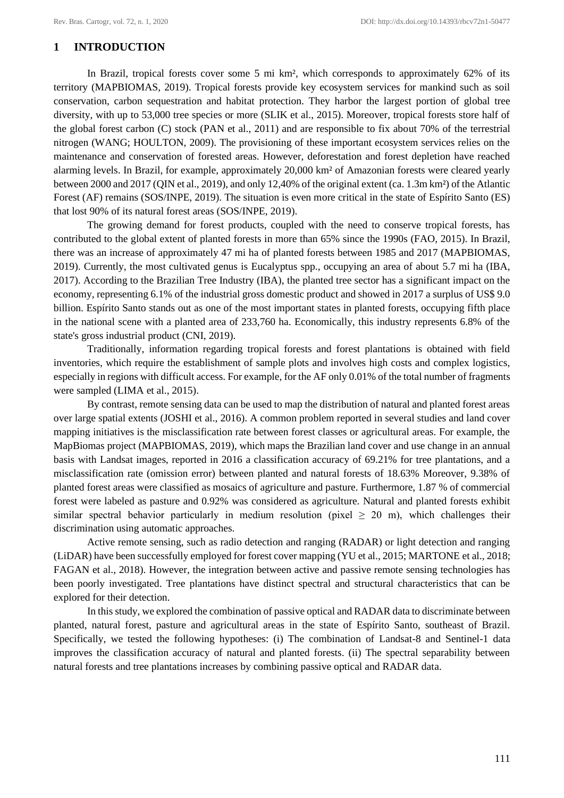# **1 INTRODUCTION**

In Brazil, tropical forests cover some 5 mi km², which corresponds to approximately 62% of its territory (MAPBIOMAS, 2019). Tropical forests provide key ecosystem services for mankind such as soil conservation, carbon sequestration and habitat protection. They harbor the largest portion of global tree diversity, with up to 53,000 tree species or more (SLIK et al., 2015). Moreover, tropical forests store half of the global forest carbon (C) stock (PAN et al., 2011) and are responsible to fix about 70% of the terrestrial nitrogen (WANG; HOULTON, 2009). The provisioning of these important ecosystem services relies on the maintenance and conservation of forested areas. However, deforestation and forest depletion have reached alarming levels. In Brazil, for example, approximately 20,000 km² of Amazonian forests were cleared yearly between 2000 and 2017 (QIN et al., 2019), and only 12,40% of the original extent (ca. 1.3m km²) of the Atlantic Forest (AF) remains (SOS/INPE, 2019). The situation is even more critical in the state of Espírito Santo (ES) that lost 90% of its natural forest areas (SOS/INPE, 2019).

The growing demand for forest products, coupled with the need to conserve tropical forests, has contributed to the global extent of planted forests in more than 65% since the 1990s (FAO, 2015). In Brazil, there was an increase of approximately 47 mi ha of planted forests between 1985 and 2017 (MAPBIOMAS, 2019). Currently, the most cultivated genus is Eucalyptus spp., occupying an area of about 5.7 mi ha (IBA, 2017). According to the Brazilian Tree Industry (IBA), the planted tree sector has a significant impact on the economy, representing 6.1% of the industrial gross domestic product and showed in 2017 a surplus of US\$ 9.0 billion. Espírito Santo stands out as one of the most important states in planted forests, occupying fifth place in the national scene with a planted area of 233,760 ha. Economically, this industry represents 6.8% of the state's gross industrial product (CNI, 2019).

Traditionally, information regarding tropical forests and forest plantations is obtained with field inventories, which require the establishment of sample plots and involves high costs and complex logistics, especially in regions with difficult access. For example, for the AF only 0.01% of the total number of fragments were sampled (LIMA et al., 2015).

By contrast, remote sensing data can be used to map the distribution of natural and planted forest areas over large spatial extents (JOSHI et al., 2016). A common problem reported in several studies and land cover mapping initiatives is the misclassification rate between forest classes or agricultural areas. For example, the MapBiomas project (MAPBIOMAS, 2019), which maps the Brazilian land cover and use change in an annual basis with Landsat images, reported in 2016 a classification accuracy of 69.21% for tree plantations, and a misclassification rate (omission error) between planted and natural forests of 18.63% Moreover, 9.38% of planted forest areas were classified as mosaics of agriculture and pasture. Furthermore, 1.87 % of commercial forest were labeled as pasture and 0.92% was considered as agriculture. Natural and planted forests exhibit similar spectral behavior particularly in medium resolution (pixel  $\geq$  20 m), which challenges their discrimination using automatic approaches.

Active remote sensing, such as radio detection and ranging (RADAR) or light detection and ranging (LiDAR) have been successfully employed for forest cover mapping (YU et al., 2015; MARTONE et al., 2018; FAGAN et al., 2018). However, the integration between active and passive remote sensing technologies has been poorly investigated. Tree plantations have distinct spectral and structural characteristics that can be explored for their detection.

In this study, we explored the combination of passive optical and RADAR data to discriminate between planted, natural forest, pasture and agricultural areas in the state of Espírito Santo, southeast of Brazil. Specifically, we tested the following hypotheses: (i) The combination of Landsat-8 and Sentinel-1 data improves the classification accuracy of natural and planted forests. (ii) The spectral separability between natural forests and tree plantations increases by combining passive optical and RADAR data.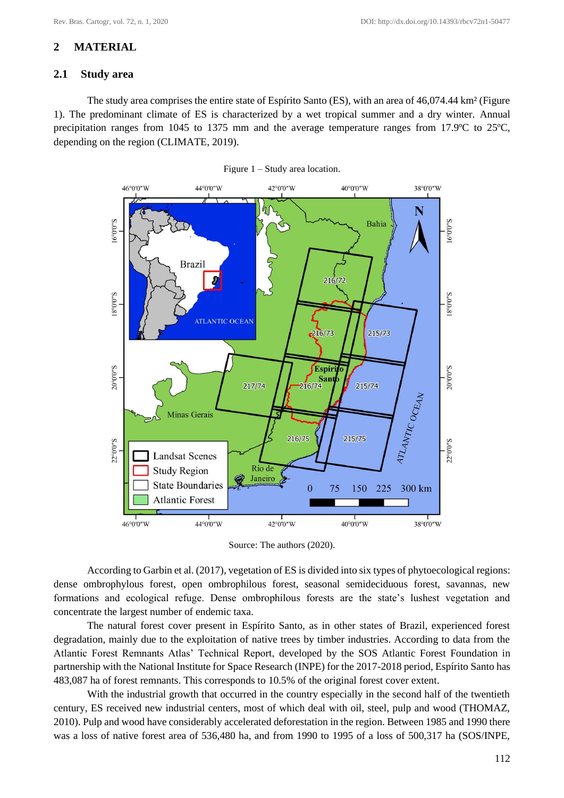# **2 MATERIAL**

# **2.1 Study area**

The study area comprises the entire state of Espírito Santo (ES), with an area of 46,074.44 km² (Figure 1). The predominant climate of ES is characterized by a wet tropical summer and a dry winter. Annual precipitation ranges from 1045 to 1375 mm and the average temperature ranges from 17.9ºC to 25ºC, depending on the region (CLIMATE, 2019).



Figure 1 – Study area location.

Source: The authors (2020).

According to Garbin et al. (2017), vegetation of ES is divided into six types of phytoecological regions: dense ombrophylous forest, open ombrophilous forest, seasonal semideciduous forest, savannas, new formations and ecological refuge. Dense ombrophilous forests are the state's lushest vegetation and concentrate the largest number of endemic taxa.

The natural forest cover present in Espírito Santo, as in other states of Brazil, experienced forest degradation, mainly due to the exploitation of native trees by timber industries. According to data from the Atlantic Forest Remnants Atlas' Technical Report, developed by the SOS Atlantic Forest Foundation in partnership with the National Institute for Space Research (INPE) for the 2017-2018 period, Espírito Santo has 483,087 ha of forest remnants. This corresponds to 10.5% of the original forest cover extent.

With the industrial growth that occurred in the country especially in the second half of the twentieth century, ES received new industrial centers, most of which deal with oil, steel, pulp and wood (THOMAZ, 2010). Pulp and wood have considerably accelerated deforestation in the region. Between 1985 and 1990 there was a loss of native forest area of 536,480 ha, and from 1990 to 1995 of a loss of 500,317 ha (SOS/INPE,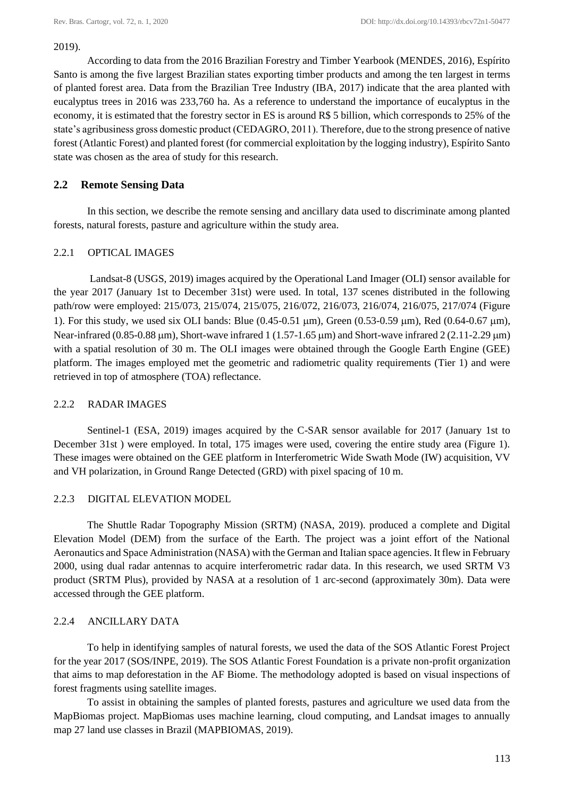#### 2019).

According to data from the 2016 Brazilian Forestry and Timber Yearbook (MENDES, 2016), Espírito Santo is among the five largest Brazilian states exporting timber products and among the ten largest in terms of planted forest area. Data from the Brazilian Tree Industry (IBA, 2017) indicate that the area planted with eucalyptus trees in 2016 was 233,760 ha. As a reference to understand the importance of eucalyptus in the economy, it is estimated that the forestry sector in ES is around R\$ 5 billion, which corresponds to 25% of the state's agribusiness gross domestic product (CEDAGRO, 2011). Therefore, due to the strong presence of native forest (Atlantic Forest) and planted forest (for commercial exploitation by the logging industry), Espírito Santo state was chosen as the area of study for this research.

# **2.2 Remote Sensing Data**

In this section, we describe the remote sensing and ancillary data used to discriminate among planted forests, natural forests, pasture and agriculture within the study area.

# 2.2.1 OPTICAL IMAGES

Landsat-8 (USGS, 2019) images acquired by the Operational Land Imager (OLI) sensor available for the year 2017 (January 1st to December 31st) were used. In total, 137 scenes distributed in the following path/row were employed: 215/073, 215/074, 215/075, 216/072, 216/073, 216/074, 216/075, 217/074 (Figure 1). For this study, we used six OLI bands: Blue  $(0.45-0.51 \text{ }\mu\text{m})$ , Green  $(0.53-0.59 \text{ }\mu\text{m})$ , Red  $(0.64-0.67 \text{ }\mu\text{m})$ , Near-infrared (0.85-0.88  $\mu$ m), Short-wave infrared 1 (1.57-1.65  $\mu$ m) and Short-wave infrared 2 (2.11-2.29  $\mu$ m) with a spatial resolution of 30 m. The OLI images were obtained through the Google Earth Engine (GEE) platform. The images employed met the geometric and radiometric quality requirements (Tier 1) and were retrieved in top of atmosphere (TOA) reflectance.

### 2.2.2 RADAR IMAGES

Sentinel-1 (ESA, 2019) images acquired by the C-SAR sensor available for 2017 (January 1st to December 31st ) were employed. In total, 175 images were used, covering the entire study area (Figure 1). These images were obtained on the GEE platform in Interferometric Wide Swath Mode (IW) acquisition, VV and VH polarization, in Ground Range Detected (GRD) with pixel spacing of 10 m.

### 2.2.3 DIGITAL ELEVATION MODEL

The Shuttle Radar Topography Mission (SRTM) (NASA, 2019). produced a complete and Digital Elevation Model (DEM) from the surface of the Earth. The project was a joint effort of the National Aeronautics and Space Administration (NASA) with the German and Italian space agencies. It flew in February 2000, using dual radar antennas to acquire interferometric radar data. In this research, we used SRTM V3 product (SRTM Plus), provided by NASA at a resolution of 1 arc-second (approximately 30m). Data were accessed through the GEE platform.

# 2.2.4 ANCILLARY DATA

To help in identifying samples of natural forests, we used the data of the SOS Atlantic Forest Project for the year 2017 (SOS/INPE, 2019). The SOS Atlantic Forest Foundation is a private non-profit organization that aims to map deforestation in the AF Biome. The methodology adopted is based on visual inspections of forest fragments using satellite images.

To assist in obtaining the samples of planted forests, pastures and agriculture we used data from the MapBiomas project. MapBiomas uses machine learning, cloud computing, and Landsat images to annually map 27 land use classes in Brazil (MAPBIOMAS, 2019).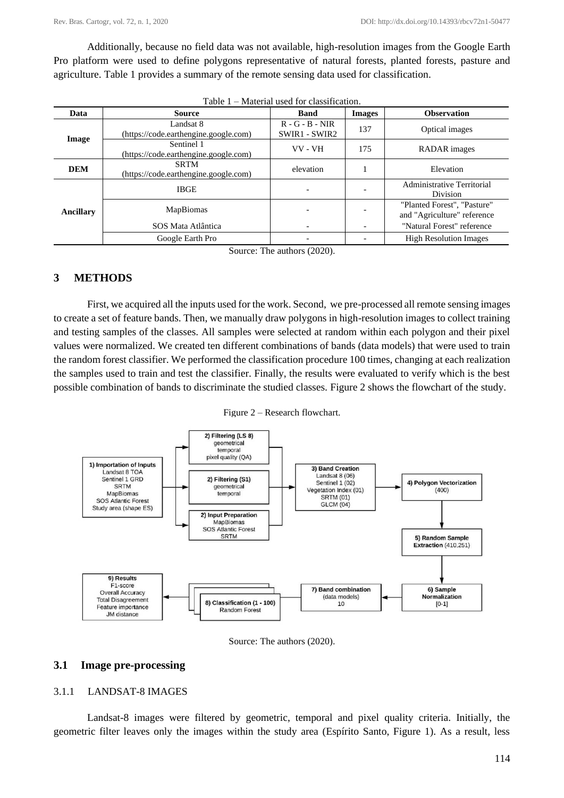Additionally, because no field data was not available, high-resolution images from the Google Earth Pro platform were used to define polygons representative of natural forests, planted forests, pasture and agriculture. Table 1 provides a summary of the remote sensing data used for classification.

| Data       | Source                                               | <b>Band</b>                        | <b>Images</b> | <b>Observation</b>                                         |  |  |
|------------|------------------------------------------------------|------------------------------------|---------------|------------------------------------------------------------|--|--|
| Image      | Landsat 8<br>(https://code.earthengine.google.com)   | $R - G - B - NIR$<br>SWIR1 - SWIR2 | 137           | Optical images                                             |  |  |
|            | Sentinel 1<br>(https://code.earthengine.google.com)  | VV - VH                            | 175           | RADAR images                                               |  |  |
| <b>DEM</b> | <b>SRTM</b><br>(https://code.earthengine.google.com) | elevation                          |               | Elevation                                                  |  |  |
| Ancillary  | <b>IBGE</b>                                          | $\overline{\phantom{0}}$           |               | Administrative Territorial<br><b>Division</b>              |  |  |
|            | <b>MapBiomas</b>                                     |                                    |               | "Planted Forest", "Pasture"<br>and "Agriculture" reference |  |  |
|            | SOS Mata Atlântica                                   |                                    |               | "Natural Forest" reference                                 |  |  |
|            | Google Earth Pro                                     |                                    |               | <b>High Resolution Images</b>                              |  |  |

| Table 1 – Material used for classification. |  |  |
|---------------------------------------------|--|--|
|---------------------------------------------|--|--|

Source: The authors (2020).

# **3 METHODS**

First, we acquired all the inputs used for the work. Second, we pre-processed all remote sensing images to create a set of feature bands. Then, we manually draw polygons in high-resolution images to collect training and testing samples of the classes. All samples were selected at random within each polygon and their pixel values were normalized. We created ten different combinations of bands (data models) that were used to train the random forest classifier. We performed the classification procedure 100 times, changing at each realization the samples used to train and test the classifier. Finally, the results were evaluated to verify which is the best possible combination of bands to discriminate the studied classes. Figure 2 shows the flowchart of the study.

Figure 2 – Research flowchart.



Source: The authors (2020).

### **3.1 Image pre-processing**

#### 3.1.1 LANDSAT-8 IMAGES

Landsat-8 images were filtered by geometric, temporal and pixel quality criteria. Initially, the geometric filter leaves only the images within the study area (Espírito Santo, Figure 1). As a result, less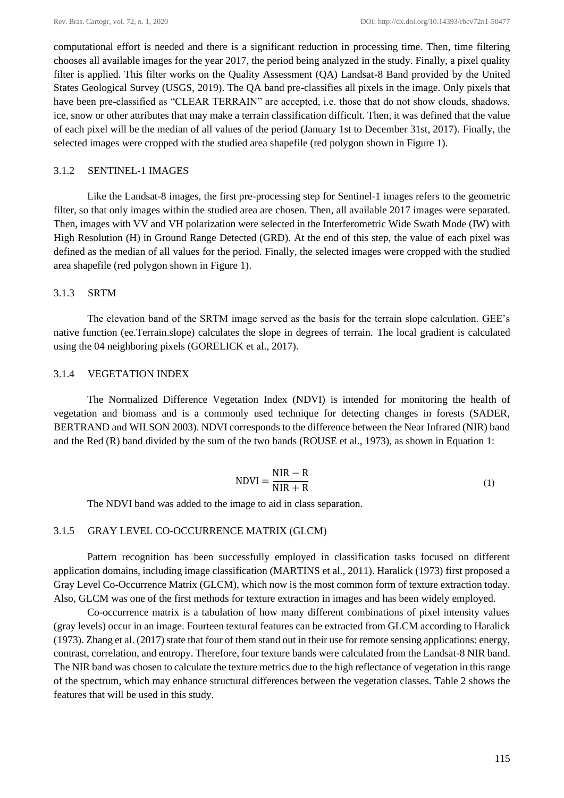computational effort is needed and there is a significant reduction in processing time. Then, time filtering chooses all available images for the year 2017, the period being analyzed in the study. Finally, a pixel quality filter is applied. This filter works on the Quality Assessment (QA) Landsat-8 Band provided by the United States Geological Survey (USGS, 2019). The QA band pre-classifies all pixels in the image. Only pixels that have been pre-classified as "CLEAR TERRAIN" are accepted, i.e. those that do not show clouds, shadows, ice, snow or other attributes that may make a terrain classification difficult. Then, it was defined that the value of each pixel will be the median of all values of the period (January 1st to December 31st, 2017). Finally, the selected images were cropped with the studied area shapefile (red polygon shown in Figure 1).

### 3.1.2 SENTINEL-1 IMAGES

Like the Landsat-8 images, the first pre-processing step for Sentinel-1 images refers to the geometric filter, so that only images within the studied area are chosen. Then, all available 2017 images were separated. Then, images with VV and VH polarization were selected in the Interferometric Wide Swath Mode (IW) with High Resolution (H) in Ground Range Detected (GRD). At the end of this step, the value of each pixel was defined as the median of all values for the period. Finally, the selected images were cropped with the studied area shapefile (red polygon shown in Figure 1).

### 3.1.3 SRTM

The elevation band of the SRTM image served as the basis for the terrain slope calculation. GEE's native function (ee.Terrain.slope) calculates the slope in degrees of terrain. The local gradient is calculated using the 04 neighboring pixels (GORELICK et al., 2017).

### 3.1.4 VEGETATION INDEX

The Normalized Difference Vegetation Index (NDVI) is intended for monitoring the health of vegetation and biomass and is a commonly used technique for detecting changes in forests (SADER, BERTRAND and WILSON 2003). NDVI corresponds to the difference between the Near Infrared (NIR) band and the Red (R) band divided by the sum of the two bands (ROUSE et al., 1973), as shown in Equation 1:

$$
NDVI = \frac{NIR - R}{NIR + R}
$$
 (1)

The NDVI band was added to the image to aid in class separation.

#### 3.1.5 GRAY LEVEL CO-OCCURRENCE MATRIX (GLCM)

Pattern recognition has been successfully employed in classification tasks focused on different application domains, including image classification (MARTINS et al., 2011). Haralick (1973) first proposed a Gray Level Co-Occurrence Matrix (GLCM), which now is the most common form of texture extraction today. Also, GLCM was one of the first methods for texture extraction in images and has been widely employed.

Co-occurrence matrix is a tabulation of how many different combinations of pixel intensity values (gray levels) occur in an image. Fourteen textural features can be extracted from GLCM according to Haralick (1973). Zhang et al. (2017) state that four of them stand out in their use for remote sensing applications: energy, contrast, correlation, and entropy. Therefore, four texture bands were calculated from the Landsat-8 NIR band. The NIR band was chosen to calculate the texture metrics due to the high reflectance of vegetation in this range of the spectrum, which may enhance structural differences between the vegetation classes. Table 2 shows the features that will be used in this study.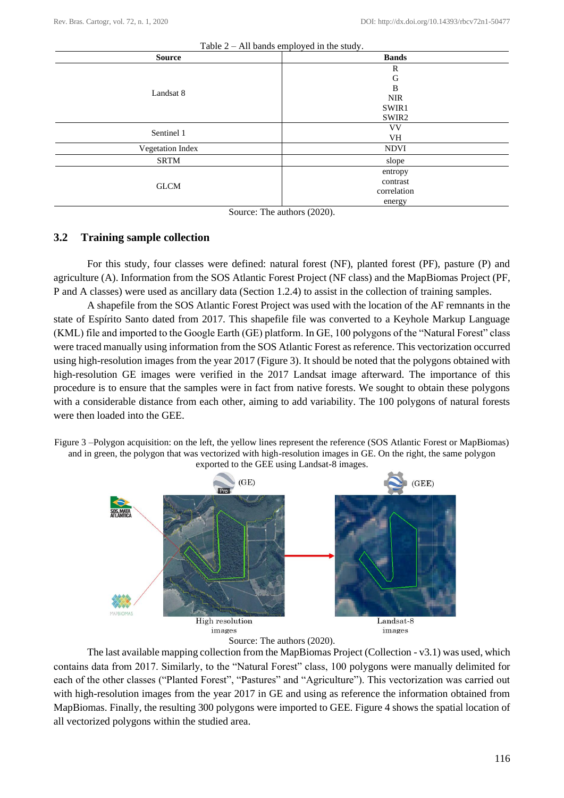| rable $z - Au$ bands employed in the study. |              |  |  |  |  |  |  |  |
|---------------------------------------------|--------------|--|--|--|--|--|--|--|
| <b>Source</b>                               | <b>Bands</b> |  |  |  |  |  |  |  |
|                                             | R            |  |  |  |  |  |  |  |
|                                             | G            |  |  |  |  |  |  |  |
| Landsat 8                                   | B            |  |  |  |  |  |  |  |
|                                             | <b>NIR</b>   |  |  |  |  |  |  |  |
|                                             | SWIR1        |  |  |  |  |  |  |  |
|                                             | SWIR2        |  |  |  |  |  |  |  |
| Sentinel 1                                  | <b>VV</b>    |  |  |  |  |  |  |  |
|                                             | VH           |  |  |  |  |  |  |  |
| Vegetation Index                            | <b>NDVI</b>  |  |  |  |  |  |  |  |
| SRTM                                        | slope        |  |  |  |  |  |  |  |
|                                             | entropy      |  |  |  |  |  |  |  |
| <b>GLCM</b>                                 | contrast     |  |  |  |  |  |  |  |
|                                             | correlation  |  |  |  |  |  |  |  |
|                                             | energy       |  |  |  |  |  |  |  |
| $\sim$                                      | $\sim$<br>.  |  |  |  |  |  |  |  |

Source: The authors (2020).

### **3.2 Training sample collection**

For this study, four classes were defined: natural forest (NF), planted forest (PF), pasture (P) and agriculture (A). Information from the SOS Atlantic Forest Project (NF class) and the MapBiomas Project (PF, P and A classes) were used as ancillary data (Section 1.2.4) to assist in the collection of training samples.

A shapefile from the SOS Atlantic Forest Project was used with the location of the AF remnants in the state of Espírito Santo dated from 2017. This shapefile file was converted to a Keyhole Markup Language (KML) file and imported to the Google Earth (GE) platform. In GE, 100 polygons of the "Natural Forest" class were traced manually using information from the SOS Atlantic Forest as reference. This vectorization occurred using high-resolution images from the year 2017 (Figure 3). It should be noted that the polygons obtained with high-resolution GE images were verified in the 2017 Landsat image afterward. The importance of this procedure is to ensure that the samples were in fact from native forests. We sought to obtain these polygons with a considerable distance from each other, aiming to add variability. The 100 polygons of natural forests were then loaded into the GEE.





Source: The authors (2020).

The last available mapping collection from the MapBiomas Project (Collection - v3.1) was used, which contains data from 2017. Similarly, to the "Natural Forest" class, 100 polygons were manually delimited for each of the other classes ("Planted Forest", "Pastures" and "Agriculture"). This vectorization was carried out with high-resolution images from the year 2017 in GE and using as reference the information obtained from MapBiomas. Finally, the resulting 300 polygons were imported to GEE. Figure 4 shows the spatial location of all vectorized polygons within the studied area.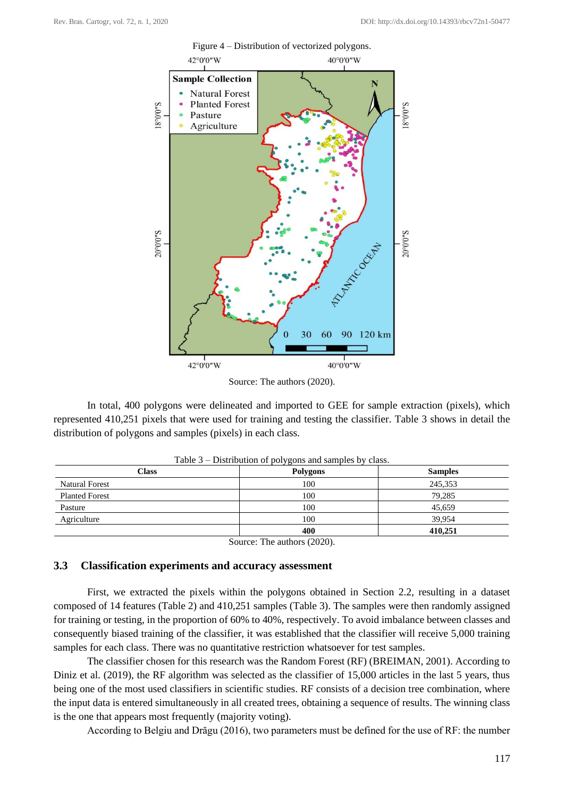

Source: The authors (2020).

In total, 400 polygons were delineated and imported to GEE for sample extraction (pixels), which represented 410,251 pixels that were used for training and testing the classifier. Table 3 shows in detail the distribution of polygons and samples (pixels) in each class.

| <b>Class</b>          | <b>Polygons</b> | <b>Samples</b> |
|-----------------------|-----------------|----------------|
| <b>Natural Forest</b> | 100             | 245,353        |
| <b>Planted Forest</b> | 100             | 79,285         |
| Pasture               | 100             | 45,659         |
| Agriculture           | 100             | 39.954         |
|                       | 400             | 410.251        |

Source: The authors (2020).

#### **3.3 Classification experiments and accuracy assessment**

First, we extracted the pixels within the polygons obtained in Section 2.2, resulting in a dataset composed of 14 features (Table 2) and 410,251 samples (Table 3). The samples were then randomly assigned for training or testing, in the proportion of 60% to 40%, respectively. To avoid imbalance between classes and consequently biased training of the classifier, it was established that the classifier will receive 5,000 training samples for each class. There was no quantitative restriction whatsoever for test samples.

The classifier chosen for this research was the Random Forest (RF) (BREIMAN, 2001). According to Diniz et al. (2019), the RF algorithm was selected as the classifier of 15,000 articles in the last 5 years, thus being one of the most used classifiers in scientific studies. RF consists of a decision tree combination, where the input data is entered simultaneously in all created trees, obtaining a sequence of results. The winning class is the one that appears most frequently (majority voting).

According to Belgiu and Drăgu (2016), two parameters must be defined for the use of RF: the number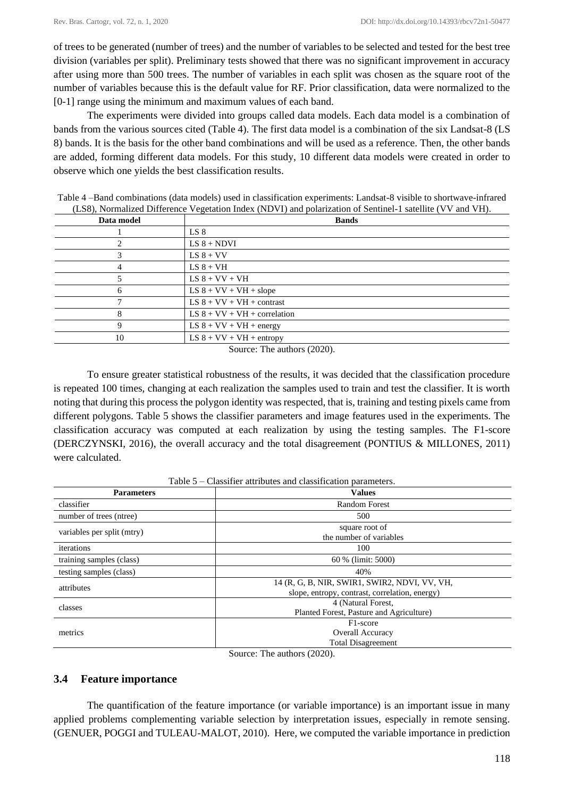of trees to be generated (number of trees) and the number of variables to be selected and tested for the best tree division (variables per split). Preliminary tests showed that there was no significant improvement in accuracy after using more than 500 trees. The number of variables in each split was chosen as the square root of the number of variables because this is the default value for RF. Prior classification, data were normalized to the [0-1] range using the minimum and maximum values of each band.

The experiments were divided into groups called data models. Each data model is a combination of bands from the various sources cited (Table 4). The first data model is a combination of the six Landsat-8 (LS 8) bands. It is the basis for the other band combinations and will be used as a reference. Then, the other bands are added, forming different data models. For this study, 10 different data models were created in order to observe which one yields the best classification results.

| Data model | <b>Bands</b>                   |  |  |  |  |  |  |
|------------|--------------------------------|--|--|--|--|--|--|
|            | LS 8                           |  |  |  |  |  |  |
|            | $LS 8 + NDVI$                  |  |  |  |  |  |  |
|            | $LS 8 + VV$                    |  |  |  |  |  |  |
| 4          | $LS 8 + VH$                    |  |  |  |  |  |  |
|            | $LS 8 + VV + VH$               |  |  |  |  |  |  |
| 6          | $LS 8 + VV + VH + slope$       |  |  |  |  |  |  |
|            | $LS 8 + VV + VH + contrast$    |  |  |  |  |  |  |
| 8          | LS $8 + VV + VH + correlation$ |  |  |  |  |  |  |
| Q          | LS $8 + VV + VH + energy$      |  |  |  |  |  |  |
| 10         | $LS 8 + VV + VH + entropy$     |  |  |  |  |  |  |

Table 4 –Band combinations (data models) used in classification experiments: Landsat-8 visible to shortwave-infrared (LS8), Normalized Difference Vegetation Index (NDVI) and polarization of Sentinel-1 satellite (VV and VH).

Source: The authors (2020).

To ensure greater statistical robustness of the results, it was decided that the classification procedure is repeated 100 times, changing at each realization the samples used to train and test the classifier. It is worth noting that during this process the polygon identity was respected, that is, training and testing pixels came from different polygons. Table 5 shows the classifier parameters and image features used in the experiments. The classification accuracy was computed at each realization by using the testing samples. The F1-score (DERCZYNSKI, 2016), the overall accuracy and the total disagreement (PONTIUS & MILLONES, 2011) were calculated.

Table 5 – Classifier attributes and classification parameters.

| <b>Parameters</b>          | <b>Values</b>                                                                                   |
|----------------------------|-------------------------------------------------------------------------------------------------|
| classifier                 | <b>Random Forest</b>                                                                            |
| number of trees (ntree)    | 500                                                                                             |
| variables per split (mtry) | square root of<br>the number of variables                                                       |
| iterations                 | 100                                                                                             |
| training samples (class)   | 60 % (limit: 5000)                                                                              |
| testing samples (class)    | 40%                                                                                             |
| attributes                 | 14 (R, G, B, NIR, SWIR1, SWIR2, NDVI, VV, VH,<br>slope, entropy, contrast, correlation, energy) |
| classes                    | 4 (Natural Forest,<br>Planted Forest, Pasture and Agriculture)                                  |
| metrics                    | F <sub>1</sub> -score<br><b>Overall Accuracy</b><br><b>Total Disagreement</b>                   |

Source: The authors (2020).

# **3.4 Feature importance**

The quantification of the feature importance (or variable importance) is an important issue in many applied problems complementing variable selection by interpretation issues, especially in remote sensing. (GENUER, POGGI and TULEAU-MALOT, 2010). Here, we computed the variable importance in prediction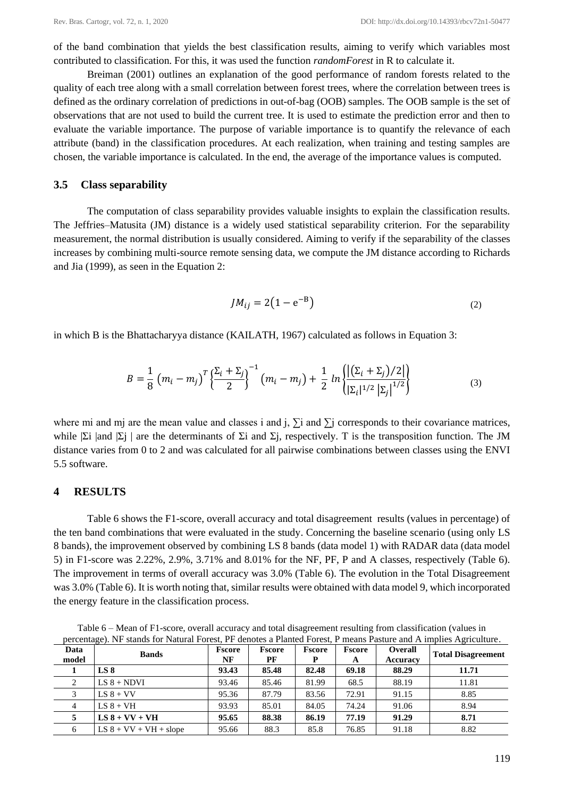of the band combination that yields the best classification results, aiming to verify which variables most contributed to classification. For this, it was used the function *randomForest* in R to calculate it.

Breiman (2001) outlines an explanation of the good performance of random forests related to the quality of each tree along with a small correlation between forest trees, where the correlation between trees is defined as the ordinary correlation of predictions in out-of-bag (OOB) samples. The OOB sample is the set of observations that are not used to build the current tree. It is used to estimate the prediction error and then to evaluate the variable importance. The purpose of variable importance is to quantify the relevance of each attribute (band) in the classification procedures. At each realization, when training and testing samples are chosen, the variable importance is calculated. In the end, the average of the importance values is computed.

#### **3.5 Class separability**

The computation of class separability provides valuable insights to explain the classification results. The Jeffries–Matusita (JM) distance is a widely used statistical separability criterion. For the separability measurement, the normal distribution is usually considered. Aiming to verify if the separability of the classes increases by combining multi-source remote sensing data, we compute the JM distance according to Richards and Jia (1999), as seen in the Equation 2:

$$
JM_{ij} = 2(1 - e^{-B})
$$
 (2)

in which B is the Bhattacharyya distance (KAILATH, 1967) calculated as follows in Equation 3:

$$
B = \frac{1}{8} (m_i - m_j)^T \left\{ \frac{\Sigma_i + \Sigma_j}{2} \right\}^{-1} (m_i - m_j) + \frac{1}{2} ln \left\{ \frac{|(\Sigma_i + \Sigma_j)/2|}{|\Sigma_i|^{1/2} |\Sigma_j|^{1/2}} \right\}
$$
(3)

where mi and mj are the mean value and classes i and j,  $\Sigma$ i and  $\Sigma$ j corresponds to their covariance matrices, while  $|\Sigma|$  and  $|\Sigma|$  are the determinants of  $\Sigma$ i and  $\Sigma$ j, respectively. T is the transposition function. The JM distance varies from 0 to 2 and was calculated for all pairwise combinations between classes using the ENVI 5.5 software.

#### **4 RESULTS**

Table 6 shows the F1-score, overall accuracy and total disagreement results (values in percentage) of the ten band combinations that were evaluated in the study. Concerning the baseline scenario (using only LS 8 bands), the improvement observed by combining LS 8 bands (data model 1) with RADAR data (data model 5) in F1-score was 2.22%, 2.9%, 3.71% and 8.01% for the NF, PF, P and A classes, respectively (Table 6). The improvement in terms of overall accuracy was 3.0% (Table 6). The evolution in the Total Disagreement was 3.0% (Table 6). It is worth noting that, similar results were obtained with data model 9, which incorporated the energy feature in the classification process.

**Data model Bands F**score<br> **Bands Final F NF Fscore PF Fscore P Fscore A Overall Accuracy Total Disagreement 1 LS 8 93.43 85.48 82.48 69.18 88.29 11.71** 2 **LS 8 + NDVI** 93.46 85.46 81.99 68.5 88.19 11.81 3 LS 8 + VV 95.36 87.79 83.56 72.91 91.15 8.85 4 **LS 8 + VH 93.93** 85.01 84.05 74.24 91.06 8.94 **5 LS 8 + VV + VH 95.65 88.38 86.19 77.19 91.29 8.71** 6  $\text{LSS} + \text{VV} + \text{VH} + \text{slope}$  95.66 88.3 85.8 76.85 91.18 8.82

Table 6 – Mean of F1-score, overall accuracy and total disagreement resulting from classification (values in percentage). NF stands for Natural Forest, PF denotes a Planted Forest, P means Pasture and A implies Agriculture.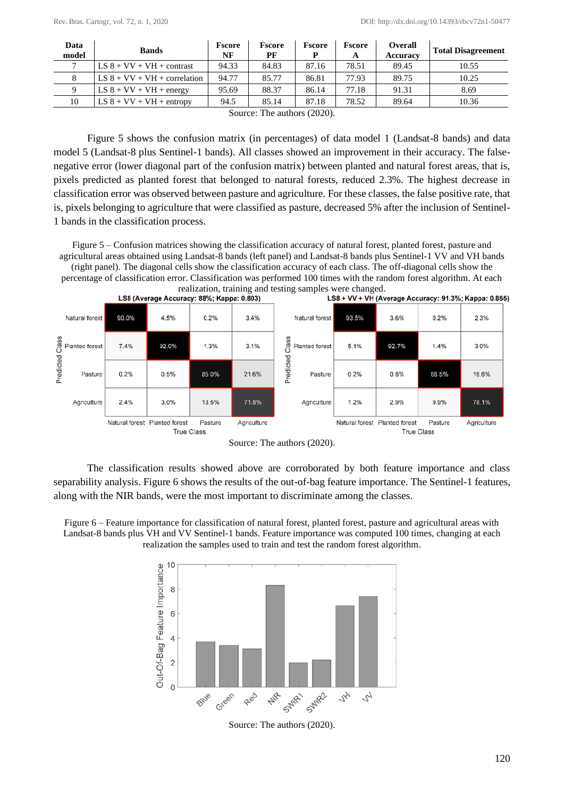| Data<br>model | <b>Bands</b>                   | <b>Fscore</b><br>NF | <b>Fscore</b><br>РF       | <b>Fscore</b> | <b>Fscore</b><br>A | <b>Overall</b><br><b>Accuracy</b> | <b>Total Disagreement</b> |
|---------------|--------------------------------|---------------------|---------------------------|---------------|--------------------|-----------------------------------|---------------------------|
|               | $LS 8 + VV + VH + contrast$    | 94.33               | 84.83                     | 87.16         | 78.51              | 89.45                             | 10.55                     |
|               | LS $8 + VV + VH + correlation$ | 94.77               | 85.77                     | 86.81         | 77.93              | 89.75                             | 10.25                     |
|               | LS $8 + VV + VH + energy$      | 95.69               | 88.37                     | 86.14         | 77.18              | 91.31                             | 8.69                      |
| 10            | $LS 8 + VV + VH + entropy$     | 94.5                | 85.14                     | 87.18         | 78.52              | 89.64                             | 10.36                     |
|               |                                | $\sim$              | $T^{\prime}$<br>$\cdot$ 1 | (0.000)       |                    |                                   |                           |

Source: The authors (2020).

Figure 5 shows the confusion matrix (in percentages) of data model 1 (Landsat-8 bands) and data model 5 (Landsat-8 plus Sentinel-1 bands). All classes showed an improvement in their accuracy. The falsenegative error (lower diagonal part of the confusion matrix) between planted and natural forest areas, that is, pixels predicted as planted forest that belonged to natural forests, reduced 2.3%. The highest decrease in classification error was observed between pasture and agriculture. For these classes, the false positive rate, that is, pixels belonging to agriculture that were classified as pasture, decreased 5% after the inclusion of Sentinel-1 bands in the classification process.

Figure 5 – Confusion matrices showing the classification accuracy of natural forest, planted forest, pasture and agricultural areas obtained using Landsat-8 bands (left panel) and Landsat-8 bands plus Sentinel-1 VV and VH bands (right panel). The diagonal cells show the classification accuracy of each class. The off-diagonal cells show the percentage of classification error. Classification was performed 100 times with the random forest algorithm. At each



Source: The authors (2020).

The classification results showed above are corroborated by both feature importance and class separability analysis. Figure 6 shows the results of the out-of-bag feature importance. The Sentinel-1 features, along with the NIR bands, were the most important to discriminate among the classes.

Figure 6 – Feature importance for classification of natural forest, planted forest, pasture and agricultural areas with Landsat-8 bands plus VH and VV Sentinel-1 bands. Feature importance was computed 100 times, changing at each realization the samples used to train and test the random forest algorithm.



Source: The authors (2020).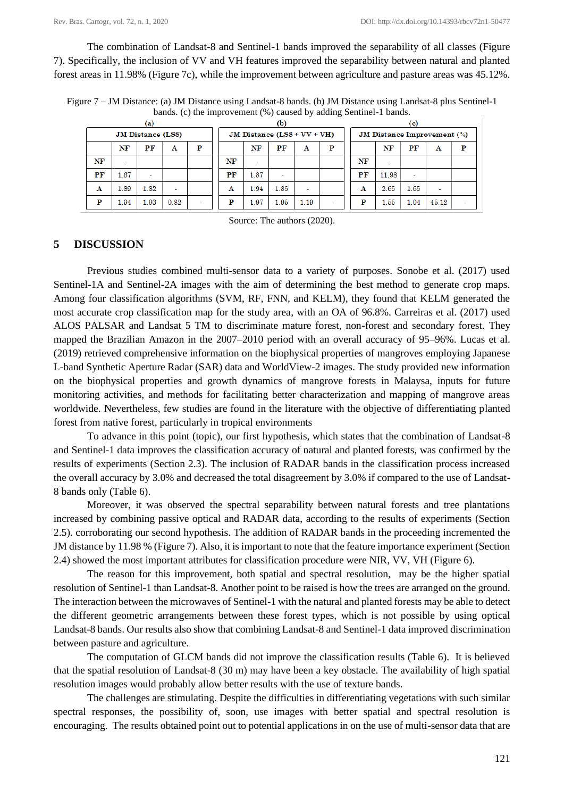The combination of Landsat-8 and Sentinel-1 bands improved the separability of all classes (Figure 7). Specifically, the inclusion of VV and VH features improved the separability between natural and planted forest areas in 11.98% (Figure 7c), while the improvement between agriculture and pasture areas was 45.12%.

Figure 7 – JM Distance: (a) JM Distance using Landsat-8 bands. (b) JM Distance using Landsat-8 plus Sentinel-1 bands. (c) the improvement (%) caused by adding Sentinel-1 bands.

| (a)                      |      |      |      |   |                               | (b)  |      |      |   |                                    | (c)   |      |       |  |  |
|--------------------------|------|------|------|---|-------------------------------|------|------|------|---|------------------------------------|-------|------|-------|--|--|
| <b>JM Distance (LS8)</b> |      |      |      |   | JM Distance $(LSS + VV + VH)$ |      |      |      |   | <b>JM Distance Improvement (%)</b> |       |      |       |  |  |
|                          | NF   | PF   | A    | Р |                               | NF   | PF   | A    | D |                                    | NF    | PF   | A     |  |  |
| NF                       |      |      |      |   | NF                            |      |      |      |   | NF                                 | ۰     |      |       |  |  |
| PF                       | 1.67 | ٠    |      |   | PF                            | 1.87 |      |      |   | PF                                 | 11.98 |      |       |  |  |
| A                        | 1.89 | 1.82 | ٠    |   | A                             | 1.94 | 1.85 |      |   | Α                                  | 2.65  | 1.65 | ٠     |  |  |
| P                        | 1.94 | 1.93 | 0.82 | ۰ | Р                             | 1.97 | 1.95 | 1.19 |   |                                    | 1.55  | 1.04 | 45.12 |  |  |

Source: The authors (2020).

#### **5 DISCUSSION**

Previous studies combined multi-sensor data to a variety of purposes. Sonobe et al. (2017) used Sentinel-1A and Sentinel-2A images with the aim of determining the best method to generate crop maps. Among four classification algorithms (SVM, RF, FNN, and KELM), they found that KELM generated the most accurate crop classification map for the study area, with an OA of 96.8%. Carreiras et al. (2017) used ALOS PALSAR and Landsat 5 TM to discriminate mature forest, non-forest and secondary forest. They mapped the Brazilian Amazon in the 2007–2010 period with an overall accuracy of 95–96%. Lucas et al. (2019) retrieved comprehensive information on the biophysical properties of mangroves employing Japanese L-band Synthetic Aperture Radar (SAR) data and WorldView-2 images. The study provided new information on the biophysical properties and growth dynamics of mangrove forests in Malaysa, inputs for future monitoring activities, and methods for facilitating better characterization and mapping of mangrove areas worldwide. Nevertheless, few studies are found in the literature with the objective of differentiating planted forest from native forest, particularly in tropical environments

To advance in this point (topic), our first hypothesis, which states that the combination of Landsat-8 and Sentinel-1 data improves the classification accuracy of natural and planted forests, was confirmed by the results of experiments (Section 2.3). The inclusion of RADAR bands in the classification process increased the overall accuracy by 3.0% and decreased the total disagreement by 3.0% if compared to the use of Landsat-8 bands only (Table 6).

Moreover, it was observed the spectral separability between natural forests and tree plantations increased by combining passive optical and RADAR data, according to the results of experiments (Section 2.5). corroborating our second hypothesis. The addition of RADAR bands in the proceeding incremented the JM distance by 11.98 % (Figure 7). Also, it is important to note that the feature importance experiment (Section 2.4) showed the most important attributes for classification procedure were NIR, VV, VH (Figure 6).

The reason for this improvement, both spatial and spectral resolution, may be the higher spatial resolution of Sentinel-1 than Landsat-8. Another point to be raised is how the trees are arranged on the ground. The interaction between the microwaves of Sentinel-1 with the natural and planted forests may be able to detect the different geometric arrangements between these forest types, which is not possible by using optical Landsat-8 bands. Our results also show that combining Landsat-8 and Sentinel-1 data improved discrimination between pasture and agriculture.

The computation of GLCM bands did not improve the classification results (Table 6). It is believed that the spatial resolution of Landsat-8 (30 m) may have been a key obstacle. The availability of high spatial resolution images would probably allow better results with the use of texture bands.

The challenges are stimulating. Despite the difficulties in differentiating vegetations with such similar spectral responses, the possibility of, soon, use images with better spatial and spectral resolution is encouraging. The results obtained point out to potential applications in on the use of multi-sensor data that are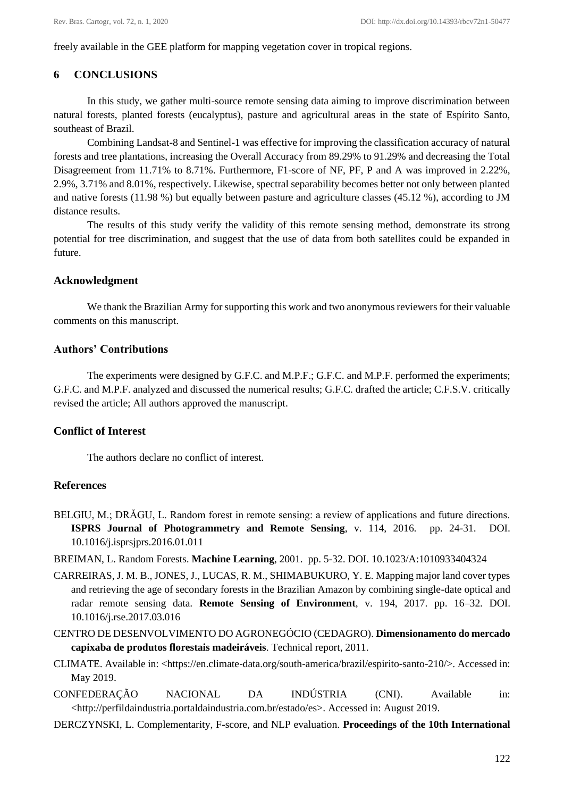freely available in the GEE platform for mapping vegetation cover in tropical regions.

### **6 CONCLUSIONS**

In this study, we gather multi-source remote sensing data aiming to improve discrimination between natural forests, planted forests (eucalyptus), pasture and agricultural areas in the state of Espírito Santo, southeast of Brazil.

Combining Landsat-8 and Sentinel-1 was effective for improving the classification accuracy of natural forests and tree plantations, increasing the Overall Accuracy from 89.29% to 91.29% and decreasing the Total Disagreement from 11.71% to 8.71%. Furthermore, F1-score of NF, PF, P and A was improved in 2.22%, 2.9%, 3.71% and 8.01%, respectively. Likewise, spectral separability becomes better not only between planted and native forests (11.98 %) but equally between pasture and agriculture classes (45.12 %), according to JM distance results.

The results of this study verify the validity of this remote sensing method, demonstrate its strong potential for tree discrimination, and suggest that the use of data from both satellites could be expanded in future.

### **Acknowledgment**

We thank the Brazilian Army for supporting this work and two anonymous reviewers for their valuable comments on this manuscript.

### **Authors' Contributions**

The experiments were designed by G.F.C. and M.P.F.; G.F.C. and M.P.F. performed the experiments; G.F.C. and M.P.F. analyzed and discussed the numerical results; G.F.C. drafted the article; C.F.S.V. critically revised the article; All authors approved the manuscript.

# **Conflict of Interest**

The authors declare no conflict of interest.

#### **References**

- BELGIU, M.; DRĂGU, L. Random forest in remote sensing: a review of applications and future directions. **ISPRS Journal of Photogrammetry and Remote Sensing**, v. 114, 2016. pp. 24-31. [DOI.](https://doi.org/10.1016/j.isprsjprs.2016.01.011)  [10.1016/j.isprsjprs.2016.01.011](https://doi.org/10.1016/j.isprsjprs.2016.01.011)
- BREIMAN, L. Random Forests. **Machine Learning**, 2001. pp. 5-32. DOI. 10.1023/A:1010933404324
- CARREIRAS, J. M. B., JONES, J., LUCAS, R. M., SHIMABUKURO, Y. E. Mapping major land cover types and retrieving the age of secondary forests in the Brazilian Amazon by combining single-date optical and radar remote sensing data. **Remote Sensing of Environment**, v. 194, 2017. pp. 16–32. DOI. 10.1016/j.rse.2017.03.016
- CENTRO DE DESENVOLVIMENTO DO AGRONEGÓCIO (CEDAGRO). **Dimensionamento do mercado capixaba de produtos florestais madeiráveis**. Technical report, 2011.
- CLIMATE. Available in: <https://en.climate-data.org/south-america/brazil/espirito-santo-210/>. Accessed in: May 2019.
- CONFEDERAÇÃO NACIONAL DA INDÚSTRIA (CNI). Available in: <http://perfildaindustria.portaldaindustria.com.br/estado/es>. Accessed in: August 2019.
- DERCZYNSKI, L. Complementarity, F-score, and NLP evaluation. **Proceedings of the 10th International**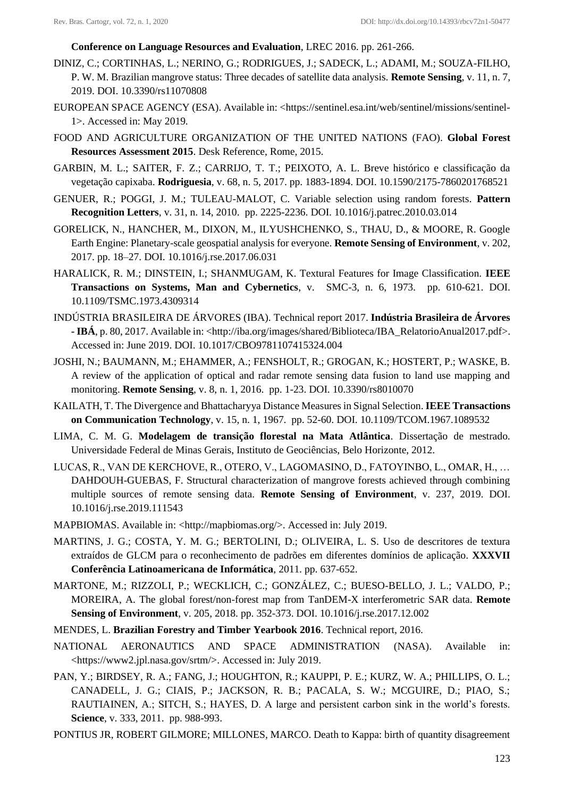**Conference on Language Resources and Evaluation**, LREC 2016. pp. 261-266.

- DINIZ, C.; CORTINHAS, L.; NERINO, G.; RODRIGUES, J.; SADECK, L.; ADAMI, M.; SOUZA-FILHO, P. W. M. Brazilian mangrove status: Three decades of satellite data analysis. **Remote Sensing**, v. 11, n. 7, 2019. DOI. 10.3390/rs11070808
- EUROPEAN SPACE AGENCY (ESA). Available in: <https://sentinel.esa.int/web/sentinel/missions/sentinel-1>. Accessed in: May 2019.
- FOOD AND AGRICULTURE ORGANIZATION OF THE UNITED NATIONS (FAO). **Global Forest Resources Assessment 2015**. Desk Reference, Rome, 2015.
- GARBIN, M. L.; SAITER, F. Z.; CARRIJO, T. T.; PEIXOTO, A. L. Breve histórico e classificação da vegetação capixaba. **Rodriguesia**, v. 68, n. 5, 2017. pp. 1883-1894. DOI. 10.1590/2175-7860201768521
- GENUER, R.; POGGI, J. M.; TULEAU-MALOT, C. Variable selection using random forests. **Pattern Recognition Letters**, v. 31, n. 14, 2010. pp. 2225-2236. DOI. 10.1016/j.patrec.2010.03.014
- GORELICK, N., HANCHER, M., DIXON, M., ILYUSHCHENKO, S., THAU, D., & MOORE, R. Google Earth Engine: Planetary-scale geospatial analysis for everyone. **Remote Sensing of Environment**, v. 202, 2017. pp. 18–27. DOI. 10.1016/j.rse.2017.06.031
- HARALICK, R. M.; DINSTEIN, I.; SHANMUGAM, K. Textural Features for Image Classification. **IEEE Transactions on Systems, Man and Cybernetics**, v. SMC-3, n. 6, 1973. pp. 610-621. DOI. 10.1109/TSMC.1973.4309314
- INDÚSTRIA BRASILEIRA DE ÁRVORES (IBA). Technical report 2017. **Indústria Brasileira de Árvores - IBÁ**, p. 80, 2017. Available in: <http://iba.org/images/shared/Biblioteca/IBA\_RelatorioAnual2017.pdf>. Accessed in: June 2019. DOI. 10.1017/CBO9781107415324.004
- JOSHI, N.; BAUMANN, M.; EHAMMER, A.; FENSHOLT, R.; GROGAN, K.; HOSTERT, P.; WASKE, B. A review of the application of optical and radar remote sensing data fusion to land use mapping and monitoring. **Remote Sensing**, v. 8, n. 1, 2016. pp. 1-23. DOI. 10.3390/rs8010070
- KAILATH, T. The Divergence and Bhattacharyya Distance Measures in Signal Selection. **IEEE Transactions on Communication Technology**, v. 15, n. 1, 1967. pp. 52-60. DOI. 10.1109/TCOM.1967.1089532
- LIMA, C. M. G. **Modelagem de transição florestal na Mata Atlântica**. Dissertação de mestrado. Universidade Federal de Minas Gerais, Instituto de Geociências, Belo Horizonte, 2012.
- LUCAS, R., VAN DE KERCHOVE, R., OTERO, V., LAGOMASINO, D., FATOYINBO, L., OMAR, H., … DAHDOUH-GUEBAS, F. Structural characterization of mangrove forests achieved through combining multiple sources of remote sensing data. **Remote Sensing of Environment**, v. 237, 2019. DOI. 10.1016/j.rse.2019.111543
- MAPBIOMAS. Available in: <http://mapbiomas.org/>. Accessed in: July 2019.
- MARTINS, J. G.; COSTA, Y. M. G.; BERTOLINI, D.; OLIVEIRA, L. S. Uso de descritores de textura extraídos de GLCM para o reconhecimento de padrões em diferentes domínios de aplicação. **XXXVII Conferência Latinoamericana de Informática**, 2011. pp. 637-652.
- MARTONE, M.; RIZZOLI, P.; WECKLICH, C.; GONZÁLEZ, C.; BUESO-BELLO, J. L.; VALDO, P.; MOREIRA, A. The global forest/non-forest map from TanDEM-X interferometric SAR data. **Remote Sensing of Environment**, v. 205, 2018. pp. 352-373. DOI. 10.1016/j.rse.2017.12.002
- MENDES, L. **Brazilian Forestry and Timber Yearbook 2016**. Technical report, 2016.
- NATIONAL AERONAUTICS AND SPACE ADMINISTRATION (NASA). Available in: <https://www2.jpl.nasa.gov/srtm/>. Accessed in: July 2019.
- PAN, Y.; BIRDSEY, R. A.; FANG, J.; HOUGHTON, R.; KAUPPI, P. E.; KURZ, W. A.; PHILLIPS, O. L.; CANADELL, J. G.; CIAIS, P.; JACKSON, R. B.; PACALA, S. W.; MCGUIRE, D.; PIAO, S.; RAUTIAINEN, A.; SITCH, S.; HAYES, D. A large and persistent carbon sink in the world's forests. **Science**, v. 333, 2011. pp. 988-993.
- PONTIUS JR, ROBERT GILMORE; MILLONES, MARCO. Death to Kappa: birth of quantity disagreement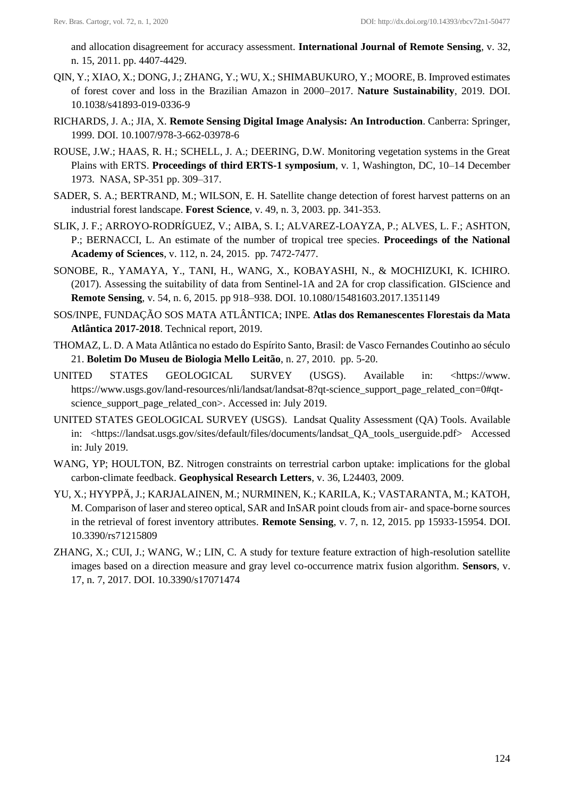and allocation disagreement for accuracy assessment. **International Journal of Remote Sensing**, v. 32, n. 15, 2011. pp. 4407-4429.

- QIN, Y.; XIAO, X.; DONG, J.; ZHANG, Y.; WU, X.; SHIMABUKURO, Y.; MOORE, B. Improved estimates of forest cover and loss in the Brazilian Amazon in 2000–2017. **Nature Sustainability**, 2019. DOI. 10.1038/s41893-019-0336-9
- RICHARDS, J. A.; JIA, X. **Remote Sensing Digital Image Analysis: An Introduction**. Canberra: Springer, 1999. DOI. 10.1007/978-3-662-03978-6
- ROUSE, J.W.; HAAS, R. H.; SCHELL, J. A.; DEERING, D.W. Monitoring vegetation systems in the Great Plains with ERTS. **Proceedings of third ERTS-1 symposium**, v. 1, Washington, DC, 10–14 December 1973. NASA, SP-351 pp. 309–317.
- SADER, S. A.; BERTRAND, M.; WILSON, E. H. Satellite change detection of forest harvest patterns on an industrial forest landscape. **Forest Science**, v. 49, n. 3, 2003. pp. 341-353.
- SLIK, J. F.; ARROYO-RODRÍGUEZ, V.; AIBA, S. I.; ALVAREZ-LOAYZA, P.; ALVES, L. F.; ASHTON, P.; BERNACCI, L. An estimate of the number of tropical tree species. **Proceedings of the National Academy of Sciences**, v. 112, n. 24, 2015. pp. 7472-7477.
- SONOBE, R., YAMAYA, Y., TANI, H., WANG, X., KOBAYASHI, N., & MOCHIZUKI, K. ICHIRO. (2017). Assessing the suitability of data from Sentinel-1A and 2A for crop classification. GIScience and **Remote Sensing**, v. 54, n. 6, 2015. pp 918–938. DOI. 10.1080/15481603.2017.1351149
- SOS/INPE, FUNDAÇÃO SOS MATA ATLÂNTICA; INPE. **Atlas dos Remanescentes Florestais da Mata Atlântica 2017-2018**. Technical report, 2019.
- THOMAZ, L. D. A Mata Atlântica no estado do Espírito Santo, Brasil: de Vasco Fernandes Coutinho ao século 21. **Boletim Do Museu de Biologia Mello Leitão**, n. 27, 2010. pp. 5-20.
- UNITED STATES GEOLOGICAL SURVEY (USGS). Available in: <https://www. https://www.usgs.gov/land-resources/nli/landsat/landsat-8?qt-science\_support\_page\_related\_con=0#qtscience\_support\_page\_related\_con>. Accessed in: July 2019.
- UNITED STATES GEOLOGICAL SURVEY (USGS). Landsat Quality Assessment (QA) Tools. Available in: <https://landsat.usgs.gov/sites/default/files/documents/landsat\_QA\_tools\_userguide.pdf> Accessed in: July 2019.
- WANG, YP; HOULTON, BZ. Nitrogen constraints on terrestrial carbon uptake: implications for the global carbon-climate feedback. **Geophysical Research Letters**, v. 36, L24403, 2009.
- YU, X.; HYYPPÄ, J.; KARJALAINEN, M.; NURMINEN, K.; KARILA, K.; VASTARANTA, M.; KATOH, M. Comparison of laser and stereo optical, SAR and InSAR point clouds from air- and space-borne sources in the retrieval of forest inventory attributes. **Remote Sensing**, v. 7, n. 12, 2015. pp 15933-15954. DOI. 10.3390/rs71215809
- ZHANG, X.; CUI, J.; WANG, W.; LIN, C. A study for texture feature extraction of high-resolution satellite images based on a direction measure and gray level co-occurrence matrix fusion algorithm. **Sensors**, v. 17, n. 7, 2017. DOI. 10.3390/s17071474